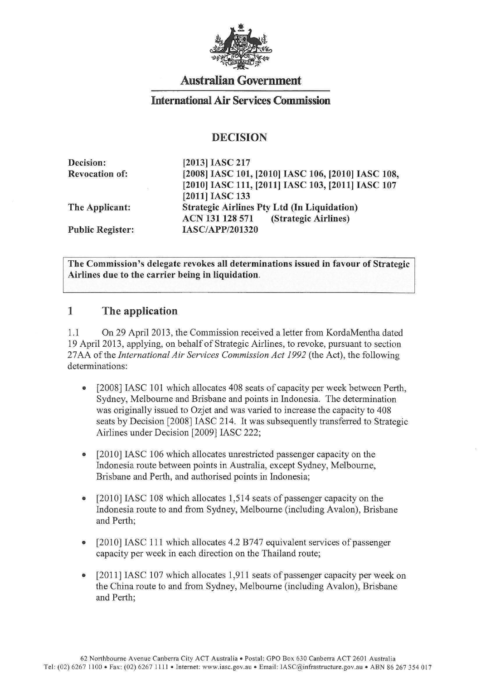

# **Australian Government**

## **International Air Services Commission**

### **DECISION**

| <b>Decision:</b>        | [2013] IASC 217                                    |
|-------------------------|----------------------------------------------------|
| <b>Revocation of:</b>   | [2008] IASC 101, [2010] IASC 106, [2010] IASC 108, |
|                         | [2010] IASC 111, [2011] IASC 103, [2011] IASC 107  |
|                         | [2011] IASC 133                                    |
| The Applicant:          | <b>Strategic Airlines Pty Ltd (In Liquidation)</b> |
|                         | ACN 131 128 571<br>(Strategic Airlines)            |
| <b>Public Register:</b> | <b>IASC/APP/201320</b>                             |

**The Commission's delegate revokes all determinations issued in favour of Strategic Airlines due to the carrier being in liquidation.** 

#### **1 The application**

1.1 On 29 April2013, the Commission received a letter from KordaMentha dated 19 April 2013, applying, on behalf of Strategic Airlines, to revoke, pursuant to section 27AA of the *International Air Services Commission Act 1992* (the Act), the following determinations:

- [2008] IASC 101 which allocates 408 seats of capacity per week between Perth, Sydney, Melbourne and Brisbane and points in Indonesia. The determination was originally issued to Ozjet and was varied to increase the capacity to 408 seats by Decision [2008] IASC 214. It was subsequently transferred to Strategic Airlines under Decision [2009] IASC 222;
- [2010] IASC 106 which allocates unrestricted passenger capacity on the Indonesia route between points in Australia, except Sydney, Melbourne, Brisbane and Perth, and authorised points in Indonesia;
- [2010] IASC 108 which allocates 1,514 seats of passenger capacity on the Indonesia route to and from Sydney, Melbourne (including Avalon), Brisbane and Perth;
- [2010] IASC 111 which allocates 4.2 B747 equivalent services of passenger capacity per week in each direction on the Thailand route;
- [2011] IASC 107 which allocates 1,911 seats of passenger capacity per week on the China route to and from Sydney, Melbourne (including Avalon), Brisbane and Perth;